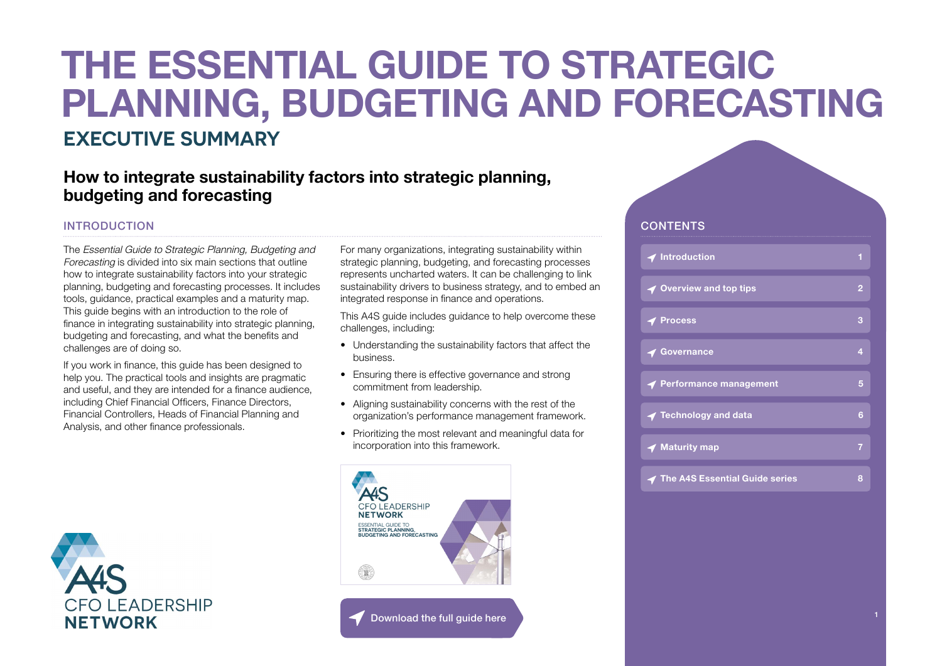# **EXECUTIVE SUMMARY THE ESSENTIAL GUIDE TO STRATEGIC PLANNING, BUDGETING AND FORECASTING**

### **How to integrate sustainability factors into strategic planning, budgeting and forecasting**

### INTRODUCTION

The Essential Guide to Strategic Planning, Budgeting and Forecasting is divided into six main sections that outline how to integrate sustainability factors into your strategic planning, budgeting and forecasting processes. It includes tools, guidance, practical examples and a maturity map. This guide begins with an introduction to the role of finance in integrating sustainability into strategic planning, budgeting and forecasting, and what the benefits and challenges are of doing so.

If you work in finance, this guide has been designed to help you. The practical tools and insights are pragmatic and useful, and they are intended for a finance audience, including Chief Financial Officers, Finance Directors, Financial Controllers, Heads of Financial Planning and Analysis, and other finance professionals.



For many organizations, integrating sustainability within strategic planning, budgeting, and forecasting processes represents uncharted waters. It can be challenging to link sustainability drivers to business strategy, and to embed an integrated response in finance and operations.

This A4S guide includes guidance to help overcome these challenges, including:

- Understanding the sustainability factors that affect the business.
- Ensuring there is effective governance and strong commitment from leadership.
- Aligning sustainability concerns with the rest of the organization's performance management framework.
- Prioritizing the most relevant and meaningful data for incorporation into this framework.



#### Download the full quide here

#### **CONTENTS**

| $\blacktriangleleft$ Introduction        | 1              |
|------------------------------------------|----------------|
| ◀ Overview and top tips                  | $\overline{2}$ |
| $\blacktriangleleft$ Process             | 3              |
| <b>◆ Governance</b>                      | 4              |
| ← Performance management                 | 5              |
| $\blacktriangleleft$ Technology and data | 6              |
| $\blacktriangleleft$ Maturity map        | 7              |
| <b>◆ The A4S Essential Guide series</b>  | 8              |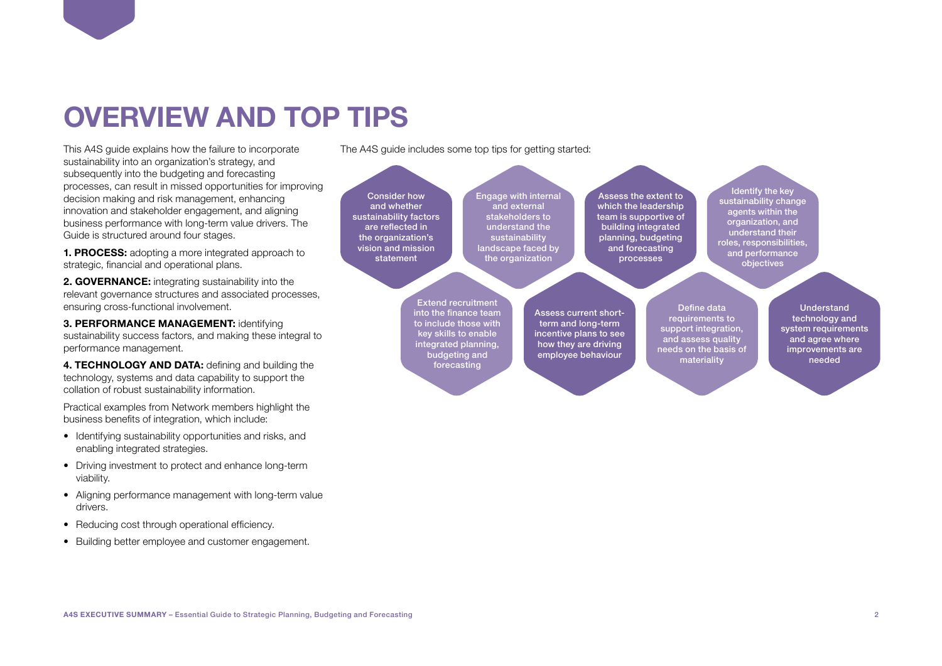### <span id="page-1-0"></span>**OVERVIEW AND TOP TIPS**

This A4S guide explains how the failure to incorporate sustainability into an organization's strategy, and subsequently into the budgeting and forecasting processes, can result in missed opportunities for improving decision making and risk management, enhancing innovation and stakeholder engagement, and aligning business performance with long-term value drivers. The Guide is structured around four stages.

**1. PROCESS:** adopting a more integrated approach to strategic, financial and operational plans.

**2. GOVERNANCE:** integrating sustainability into the relevant governance structures and associated processes, ensuring cross-functional involvement.

**3. PERFORMANCE MANAGEMENT:** identifying sustainability success factors, and making these integral to performance management.

4. TECHNOLOGY AND DATA: defining and building the technology, systems and data capability to support the collation of robust sustainability information.

Practical examples from Network members highlight the business benefits of integration, which include:

- Identifying sustainability opportunities and risks, and enabling integrated strategies.
- Driving investment to protect and enhance long-term viability.
- Aligning performance management with long-term value drivers.
- Reducing cost through operational efficiency.
- Building better employee and customer engagement.

The A4S guide includes some top tips for getting started:

Consider how and whether sustainability factors are reflected in the organization's vision and mission statement Engage with internal and external stakeholders to understand the sustainability landscape faced by the organization Assess the extent to which the leadership team is supportive of building integrated planning, budgeting and forecasting processes Identify the key sustainability change agents within the organization, and understand their roles, responsibilities, and performance objectives

> Extend recruitment into the finance team to include those with key skills to enable integrated planning, budgeting and forecasting

Assess current shortterm and long-term incentive plans to see how they are driving employee behaviour

Define data requirements to support integration, and assess quality needs on the basis of materiality

Understand technology and system requirements and agree where improvements are needed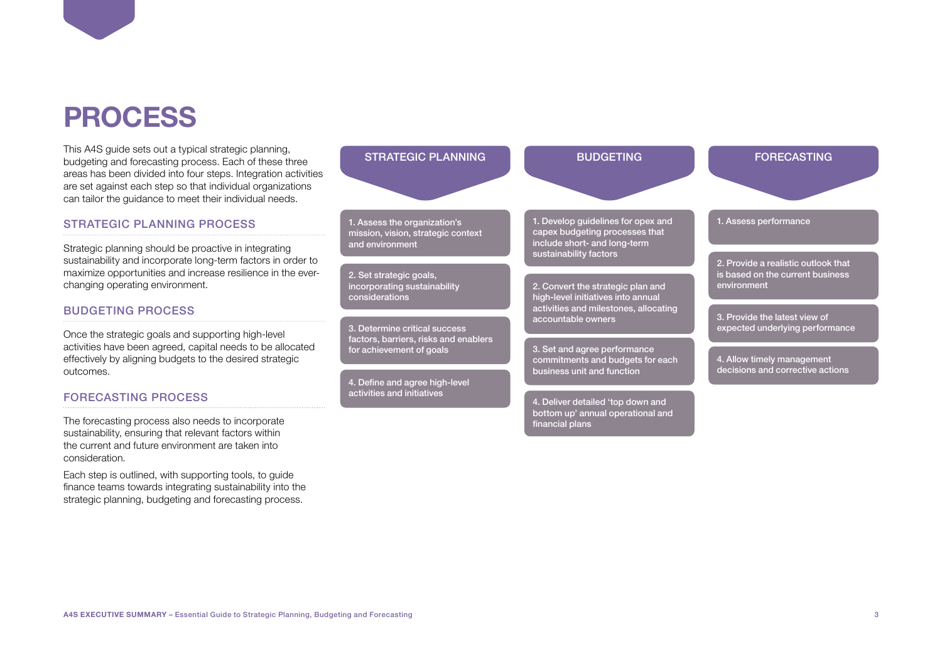### <span id="page-2-0"></span>**PROCESS**

This A4S guide sets out a typical strategic planning. budgeting and forecasting process. Each of these three areas has been divided into four steps. Integration activities are set against each step so that individual organizations can tailor the guidance to meet their individual needs.

#### STRATEGIC PLANNING PROCESS

Strategic planning should be proactive in integrating sustainability and incorporate long-term factors in order to maximize opportunities and increase resilience in the everchanging operating environment.

#### BUDGETING PROCESS

Once the strategic goals and supporting high-level activities have been agreed, capital needs to be allocated effectively by aligning budgets to the desired strategic outcomes.

#### FORECASTING PROCESS

The forecasting process also needs to incorporate sustainability, ensuring that relevant factors within the current and future environment are taken into consideration.

Each step is outlined, with supporting tools, to guide finance teams towards integrating sustainability into the strategic planning, budgeting and forecasting process.

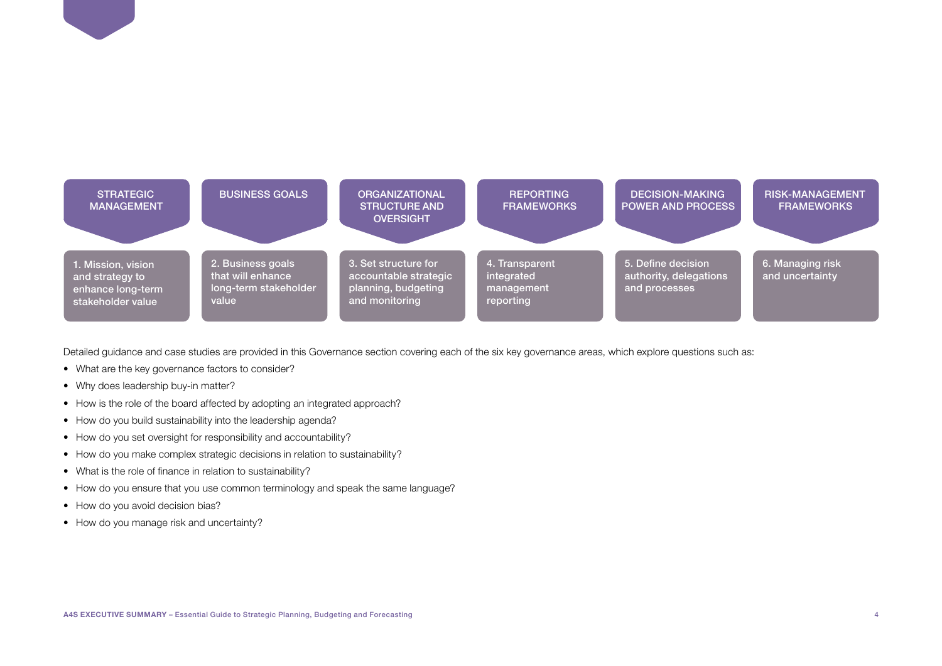<span id="page-3-0"></span>

Detailed guidance and case studies are provided in this Governance section covering each of the six key governance areas, which explore questions such as:

- What are the key governance factors to consider?
- Why does leadership buy-in matter?
- How is the role of the board affected by adopting an integrated approach?
- How do you build sustainability into the leadership agenda?
- How do you set oversight for responsibility and accountability?
- How do you make complex strategic decisions in relation to sustainability?
- What is the role of finance in relation to sustainability?
- How do you ensure that you use common terminology and speak the same language?
- How do you avoid decision bias?
- How do you manage risk and uncertainty?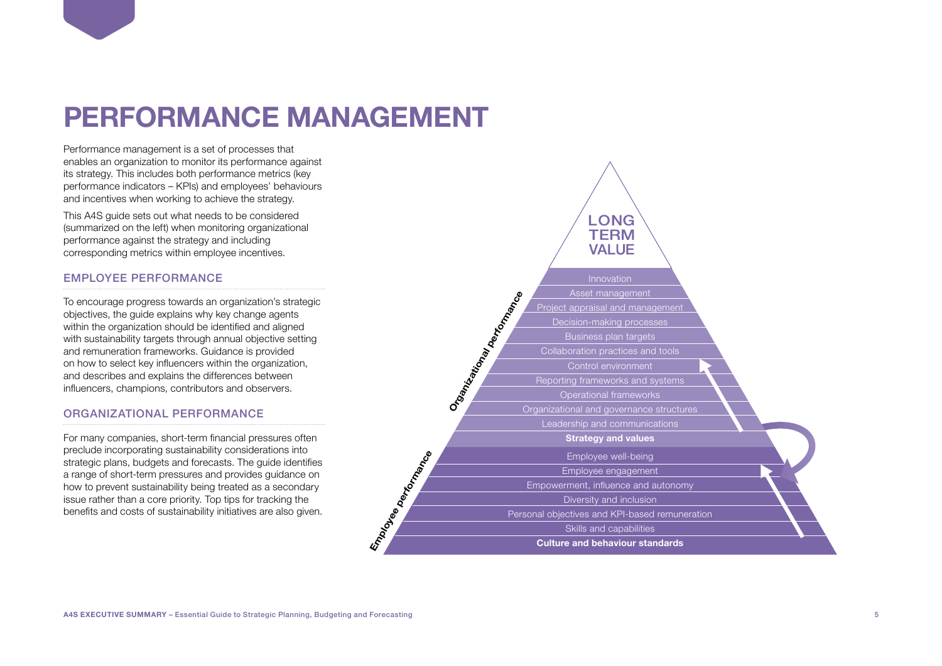### <span id="page-4-0"></span>**PERFORMANCE MANAGEMENT**

Performance management is a set of processes that enables an organization to monitor its performance against its strategy. This includes both performance metrics (key performance indicators – KPIs) and employees' behaviours and incentives when working to achieve the strategy.

This A4S guide sets out what needs to be considered (summarized on the left) when monitoring organizational performance against the strategy and including corresponding metrics within employee incentives.

#### EMPLOYEE PERFORMANCE

To encourage progress towards an organization's strategic objectives, the guide explains why key change agents within the organization should be identified and aligned with sustainability targets through annual objective setting and remuneration frameworks. Guidance is provided on how to select key influencers within the organization, and describes and explains the differences between influencers, champions, contributors and observers.

#### ORGANIZATIONAL PERFORMANCE

For many companies, short-term financial pressures often preclude incorporating sustainability considerations into strategic plans, budgets and forecasts. The guide identifies a range of short-term pressures and provides guidance on how to prevent sustainability being treated as a secondary issue rather than a core priority. Top tips for tracking the benefits and costs of sustainability initiatives are also given.

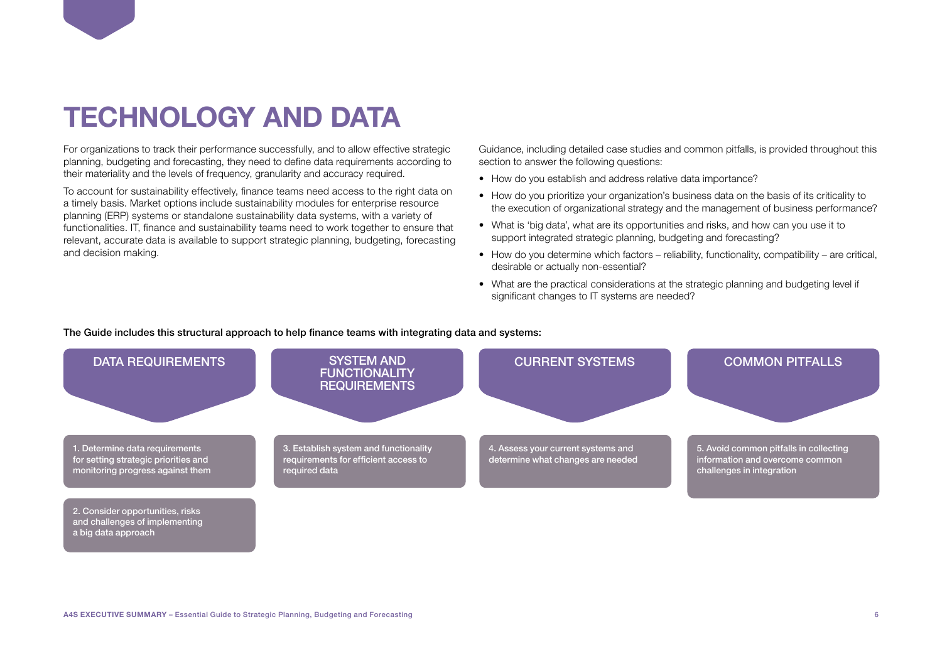### <span id="page-5-0"></span>**TECHNOLOGY AND DATA**

For organizations to track their performance successfully, and to allow effective strategic planning, budgeting and forecasting, they need to define data requirements according to their materiality and the levels of frequency, granularity and accuracy required.

To account for sustainability effectively, finance teams need access to the right data on a timely basis. Market options include sustainability modules for enterprise resource planning (ERP) systems or standalone sustainability data systems, with a variety of functionalities. IT, finance and sustainability teams need to work together to ensure that relevant, accurate data is available to support strategic planning, budgeting, forecasting and decision making.

Guidance, including detailed case studies and common pitfalls, is provided throughout this section to answer the following questions:

- How do you establish and address relative data importance?
- How do you prioritize your organization's business data on the basis of its criticality to the execution of organizational strategy and the management of business performance?
- What is 'big data', what are its opportunities and risks, and how can you use it to support integrated strategic planning, budgeting and forecasting?
- $\bullet$  How do you determine which factors reliability, functionality, compatibility are critical, desirable or actually non-essential?
- What are the practical considerations at the strategic planning and budgeting level if significant changes to IT systems are needed?

#### The Guide includes this structural approach to help finance teams with integrating data and systems:

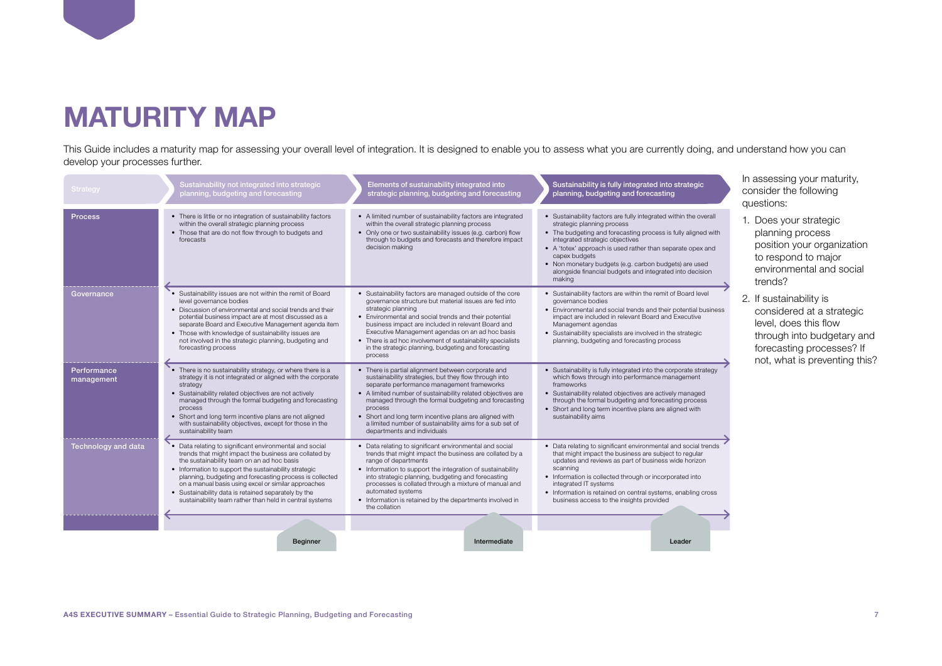### <span id="page-6-0"></span>**MATURITY MAP**

This Guide includes a maturity map for assessing your overall level of integration. It is designed to enable you to assess what you are currently doing, and understand how you can develop your processes further.

| <b>Strategy</b>           | Sustainability not integrated into strategic<br>planning, budgeting and forecasting                                                                                                                                                                                                                                                                                                                                                                        | Elements of sustainability integrated into<br>strategic planning, budgeting and forecasting                                                                                                                                                                                                                                                                                                                                                      | Sustainability is fully integrated into strategic<br>planning, budgeting and forecasting                                                                                                                                                                                                                                                                                                                         | In assessing your maturity,<br>consider the following<br>questions:                                                                                                       |
|---------------------------|------------------------------------------------------------------------------------------------------------------------------------------------------------------------------------------------------------------------------------------------------------------------------------------------------------------------------------------------------------------------------------------------------------------------------------------------------------|--------------------------------------------------------------------------------------------------------------------------------------------------------------------------------------------------------------------------------------------------------------------------------------------------------------------------------------------------------------------------------------------------------------------------------------------------|------------------------------------------------------------------------------------------------------------------------------------------------------------------------------------------------------------------------------------------------------------------------------------------------------------------------------------------------------------------------------------------------------------------|---------------------------------------------------------------------------------------------------------------------------------------------------------------------------|
| <b>Process</b>            | • There is little or no integration of sustainability factors<br>within the overall strategic planning process<br>• Those that are do not flow through to budgets and<br>forecasts                                                                                                                                                                                                                                                                         | • A limited number of sustainability factors are integrated<br>within the overall strategic planning process<br>• Only one or two sustainability issues (e.g. carbon) flow<br>through to budgets and forecasts and therefore impact<br>decision making                                                                                                                                                                                           | • Sustainability factors are fully integrated within the overall<br>strategic planning process<br>• The budgeting and forecasting process is fully aligned with<br>integrated strategic objectives<br>• A 'totex' approach is used rather than separate opex and<br>capex budgets<br>• Non monetary budgets (e.g. carbon budgets) are used<br>alongside financial budgets and integrated into decision<br>making | 1. Does your strategic<br>planning process<br>position your organization<br>to respond to major<br>environmental and social<br>trends?                                    |
| Governance                | • Sustainability issues are not within the remit of Board<br>level governance bodies<br>• Discussion of environmental and social trends and their<br>potential business impact are at most discussed as a<br>separate Board and Executive Management agenda item<br>• Those with knowledge of sustainability issues are<br>not involved in the strategic planning, budgeting and<br>forecasting process                                                    | • Sustainability factors are managed outside of the core<br>governance structure but material issues are fed into<br>strategic planning<br>• Environmental and social trends and their potential<br>business impact are included in relevant Board and<br>Executive Management agendas on an ad hoc basis<br>• There is ad hoc involvement of sustainability specialists<br>in the strategic planning, budgeting and forecasting<br>process      | • Sustainability factors are within the remit of Board level<br>governance bodies<br>• Environmental and social trends and their potential business<br>impact are included in relevant Board and Executive<br>Management agendas<br>• Sustainability specialists are involved in the strategic<br>planning, budgeting and forecasting process                                                                    | 2. If sustainability is<br>considered at a strategic<br>level, does this flow<br>through into budgetary and<br>forecasting processes? If<br>not, what is preventing this? |
| Performance<br>management | • There is no sustainability strategy, or where there is a<br>strategy it is not integrated or aligned with the corporate<br>strategy<br>• Sustainability related objectives are not actively<br>managed through the formal budgeting and forecasting<br>process<br>• Short and long term incentive plans are not aligned<br>with sustainability objectives, except for those in the<br>sustainability team                                                | • There is partial alignment between corporate and<br>sustainability strategies, but they flow through into<br>separate performance management frameworks<br>• A limited number of sustainability related objectives are<br>managed through the formal budgeting and forecasting<br>process<br>• Short and long term incentive plans are aligned with<br>a limited number of sustainability aims for a sub set of<br>departments and individuals | • Sustainability is fully integrated into the corporate strategy<br>which flows through into performance management<br>frameworks<br>• Sustainability related objectives are actively managed<br>through the formal budgeting and forecasting process<br>• Short and long term incentive plans are aligned with<br>sustainability aims                                                                           |                                                                                                                                                                           |
| Technology and data       | Data relating to significant environmental and social<br>trends that might impact the business are collated by<br>the sustainability team on an ad hoc basis<br>• Information to support the sustainability strategic<br>planning, budgeting and forecasting process is collected<br>on a manual basis using excel or similar approaches<br>• Sustainability data is retained separately by the<br>sustainability team rather than held in central systems | • Data relating to significant environmental and social<br>trends that might impact the business are collated by a<br>range of departments<br>• Information to support the integration of sustainability<br>into strategic planning, budgeting and forecasting<br>processes is collated through a mixture of manual and<br>automated systems<br>• Information is retained by the departments involved in<br>the collation                        | • Data relating to significant environmental and social trends<br>that might impact the business are subject to regular<br>updates and reviews as part of business wide horizon<br>scanning<br>• Information is collected through or incorporated into<br>integrated IT systems<br>• Information is retained on central systems, enabling cross<br>business access to the insights provided                      |                                                                                                                                                                           |
|                           | <b>Beginner</b>                                                                                                                                                                                                                                                                                                                                                                                                                                            | Intermediate                                                                                                                                                                                                                                                                                                                                                                                                                                     | Leader                                                                                                                                                                                                                                                                                                                                                                                                           |                                                                                                                                                                           |